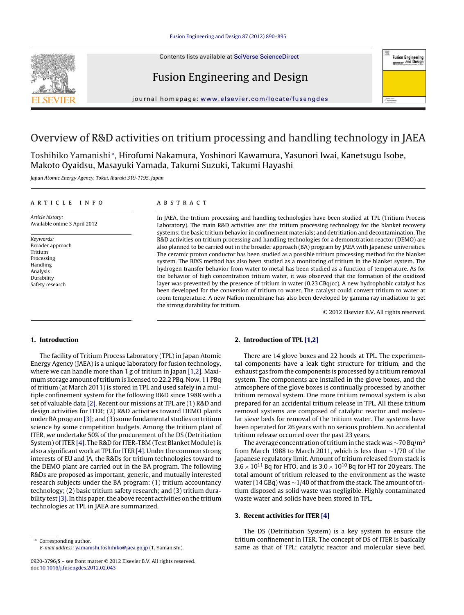Contents lists available at [SciVerse ScienceDirect](http://www.sciencedirect.com/science/journal/09203796)







journal homepage: [www.elsevier.com/locate/fusengdes](http://www.elsevier.com/locate/fusengdes)

# Overview of R&D activities on tritium processing and handling technology in JAEA

Toshihiko Yamanishi <sup>∗</sup>, Hirofumi Nakamura, Yoshinori Kawamura, Yasunori Iwai, Kanetsugu Isobe, Makoto Oyaidsu, Masayuki Yamada, Takumi Suzuki, Takumi Hayashi

Japan Atomic Energy Agency, Tokai, Ibaraki 319-1195, Japan

#### article info

Article history: Available online 3 April 2012

Keywords: Broader approach Tritium Processing Handling Analysis Durability Safety research

#### ABSTRACT

In JAEA, the tritium processing and handling technologies have been studied at TPL (Tritium Process Laboratory). The main R&D activities are: the tritium processing technology for the blanket recovery systems; the basic tritium behavior in confinement materials; and detritiation and decontamination. The R&D activities on tritium processing and handling technologies for a demonstration reactor (DEMO) are also planned to be carried out in the broader approach (BA) program by JAEA with Japanese universities. The ceramic proton conductor has been studied as a possible tritium processing method for the blanket system. The BIXS method has also been studied as a monitoring of tritium in the blanket system. The hydrogen transfer behavior from water to metal has been studied as a function of temperature. As for the behavior of high concentration tritium water, it was observed that the formation of the oxidized layer was prevented by the presence of tritium in water (0.23 GBq/cc). A new hydrophobic catalyst has been developed for the conversion of tritium to water. The catalyst could convert tritium to water at room temperature. A new Nafion membrane has also been developed by gamma ray irradiation to get the strong durability for tritium.

© 2012 Elsevier B.V. All rights reserved.

#### **1. Introduction**

The facility of Tritium Process Laboratory (TPL) in Japan Atomic Energy Agency (JAEA) is a unique laboratory for fusion technology, where we can handle more than 1 g of tritium in Japan [\[1,2\]. M](#page--1-0)aximum storage amount of tritium is licensed to 22.2 PBq. Now, 11 PBq of tritium (at March 2011) is stored in TPL and used safely in a multiple confinement system for the following R&D since 1988 with a set of valuable data [\[2\]. R](#page--1-0)ecent our missions at TPL are (1) R&D and design activities for ITER; (2) R&D activities toward DEMO plants under BA program [\[3\]; a](#page--1-0)nd (3) some fundamental studies on tritium science by some competition budgets. Among the tritium plant of ITER, we undertake 50% of the procurement of the DS (Detritiation System) of ITER [\[4\]. T](#page--1-0)he R&D for ITER-TBM (Test Blanket Module) is also a significant work at TPL for ITER [\[4\]. U](#page--1-0)nder the common strong interests of EU and JA, the R&Ds for tritium technologies toward to the DEMO plant are carried out in the BA program. The following R&Ds are proposed as important, generic, and mutually interested research subjects under the BA program: (1) tritium accountancy technology; (2) basic tritium safety research; and (3) tritium dura-bility test [\[3\]. I](#page--1-0)n this paper, the above recent activities on the tritium technologies at TPL in JAEA are summarized.

Corresponding author. E-mail address: [yamanishi.toshihiko@jaea.go.jp](mailto:yamanishi.toshihiko@jaea.go.jp) (T. Yamanishi).

## **2. Introduction of TPL [\[1,2\]](#page--1-0)**

There are 14 glove boxes and 22 hoods at TPL. The experimental components have a leak tight structure for tritium, and the exhaust gas from the components is processed by a tritium removal system. The components are installed in the glove boxes, and the atmosphere of the glove boxes is continually processed by another tritium removal system. One more tritium removal system is also prepared for an accidental tritium release in TPL. All these tritium removal systems are composed of catalytic reactor and molecular sieve beds for removal of the tritium water. The systems have been operated for 26 years with no serious problem. No accidental tritium release occurred over the past 23 years.

The average concentration of tritium in the stack was ~70 Bq/m<sup>3</sup> from March 1988 to March 2011, which is less than ∼1/70 of the Japanese regulatory limit. Amount of tritium released from stack is  $3.6 \times 10^{11}$  Bq for HTO, and is  $3.0 \times 10^{10}$  Bq for HT for 20 years. The total amount of tritium released to the environment as the waste water (14 GBq) was ~1/40 of that from the stack. The amount of tritium disposed as solid waste was negligible. Highly contaminated waste water and solids have been stored in TPL.

#### **3. Recent activities for ITER [\[4\]](#page--1-0)**

The DS (Detritiation System) is a key system to ensure the tritium confinement in ITER. The concept of DS of ITER is basically same as that of TPL: catalytic reactor and molecular sieve bed.

<sup>0920-3796/\$ –</sup> see front matter © 2012 Elsevier B.V. All rights reserved. doi:[10.1016/j.fusengdes.2012.02.043](dx.doi.org/10.1016/j.fusengdes.2012.02.043)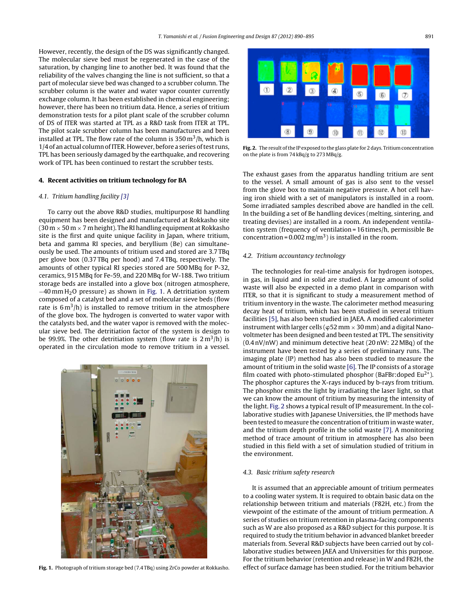However, recently, the design of the DS was significantly changed. The molecular sieve bed must be regenerated in the case of the saturation, by changing line to another bed. It was found that the reliability of the valves changing the line is not sufficient, so that a part of molecular sieve bed was changed to a scrubber column. The scrubber column is the water and water vapor counter currently exchange column. It has been established in chemical engineering; however, there has been no tritium data. Hence, a series of tritium demonstration tests for a pilot plant scale of the scrubber column of DS of ITER was started at TPL as a R&D task from ITER at TPL. The pilot scale scrubber column has been manufactures and been installed at TPL. The flow rate of the column is  $350 \,\mathrm{m}^3/\mathrm{h}$ , which is 1/4 of an actual column of ITER. However, before a series of test runs, TPL has been seriously damaged by the earthquake, and recovering work of TPL has been continued to restart the scrubber tests.

#### **4. Recent activities on tritium technology for BA**

## 4.1. Tritium handling facility [\[3\]](#page--1-0)

To carry out the above R&D studies, multipurpose RI handling equipment has been designed and manufactured at Rokkasho site (30 m  $\times$  50 m  $\times$  7 m height). The RI handling equipment at Rokkasho site is the first and quite unique facility in Japan, where tritium, beta and gamma RI species, and beryllium (Be) can simultaneously be used. The amounts of tritium used and stored are 3.7 TBq per glove box (0.37 TBq per hood) and 7.4 TBq, respectively. The amounts of other typical RI species stored are 500 MBq for P-32, ceramics, 915 MBq for Fe-59, and 220 MBq for W-188. Two tritium storage beds are installed into a glove box (nitrogen atmosphere, −40 mm H2O pressure) as shown in Fig. 1. A detritiation system composed of a catalyst bed and a set of molecular sieve beds (flow rate is  $6 \text{ m}^3$ /h) is installed to remove tritium in the atmosphere of the glove box. The hydrogen is converted to water vapor with the catalysts bed, and the water vapor is removed with the molecular sieve bed. The detritiation factor of the system is design to be 99.9%. The other detritiation system (flow rate is  $2 m<sup>3</sup>/h$ ) is operated in the circulation mode to remove tritium in a vessel.



**Fig. 1.** Photograph of tritium storage bed (7.4 TBq) using ZrCo powder at Rokkasho.



**Fig. 2.** The result of the IP exposed to the glass plate for 2 days. Tritium concentration on the plate is from 74 kBq/g to 273 MBq/g.

The exhaust gases from the apparatus handling tritium are sent to the vessel. A small amount of gas is also sent to the vessel from the glove box to maintain negative pressure. A hot cell having iron shield with a set of manipulators is installed in a room. Some irradiated samples described above are handled in the cell. In the building a set of Be handling devices (melting, sintering, and treating devises) are installed in a room. An independent ventilation system (frequency of ventilation = 16 times/h, permissible Be concentration =  $0.002$  mg/m<sup>3</sup>) is installed in the room.

#### 4.2. Tritium accountancy technology

The technologies for real-time analysis for hydrogen isotopes, in gas, in liquid and in solid are studied. A large amount of solid waste will also be expected in a demo plant in comparison with ITER, so that it is significant to study a measurement method of tritium inventory in the waste. The calorimeter method measuring decay heat of tritium, which has been studied in several tritium facilities [\[5\], h](#page--1-0)as also been studied in JAEA. A modified calorimeter instrument with larger cells ( $\varphi$ 52 mm  $\times$  30 mm) and a digital Nanovoltmeter has been designed and been tested at TPL. The sensitivity (0.4 nV/nW) and minimum detective heat (20 nW: 22 MBq) of the instrument have been tested by a series of preliminary runs. The imaging plate (IP) method has also been studied to measure the amount of tritium in the solid waste [\[6\]. T](#page--1-0)he IP consists of a storage film coated with photo-stimulated phosphor (BaFBr:doped Eu<sup>2+</sup>). The phosphor captures the X-rays induced by b-rays from tritium. The phosphor emits the light by irradiating the laser light, so that we can know the amount of tritium by measuring the intensity of the light. Fig. 2 shows a typical result of IP measurement. In the collaborative studies with Japanese Universities, the IP methods have been tested to measure the concentration of tritium in waste water, and the tritium depth profile in the solid waste [\[7\]. A](#page--1-0) monitoring method of trace amount of tritium in atmosphere has also been studied in this field with a set of simulation studied of tritium in the environment.

#### 4.3. Basic tritium safety research

It is assumed that an appreciable amount of tritium permeates to a cooling water system. It is required to obtain basic data on the relationship between tritium and materials (F82H, etc.) from the viewpoint of the estimate of the amount of tritium permeation. A series of studies on tritium retention in plasma-facing components such as W are also proposed as a R&D subject for this purpose. It is required to study the tritium behavior in advanced blanket breeder materials from. Several R&D subjects have been carried out by collaborative studies between JAEA and Universities for this purpose. For the tritium behavior (retention and release) in W and F82H, the effect of surface damage has been studied. For the tritium behavior